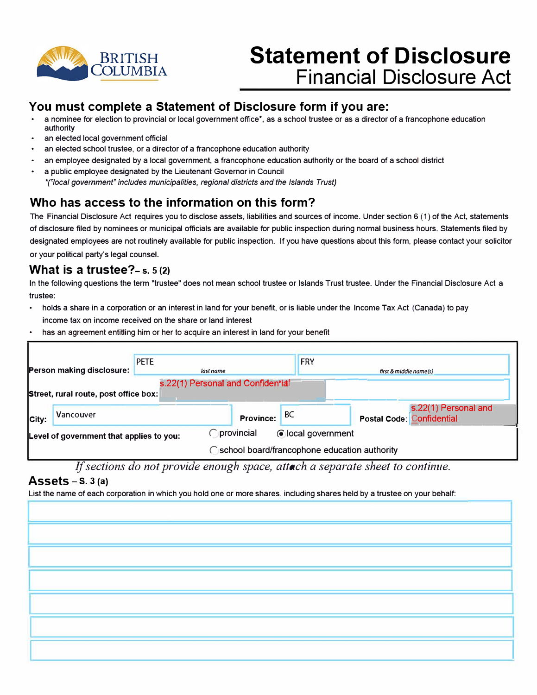

# **Statement of Disclosure Financial Disclosure Act**

### **You must complete a Statement of Disclosure form if you are:**

- a nominee for election to provincial or local government office\*, as a school trustee or as a director of a francophone education authority
- an elected local government official
- an elected school trustee, or a director of a francophone education authority
- an employee designated by a local government, a francophone education authority or the board of a school district
- a public employee designated by the Lieutenant Governor in Council *•("local government" includes municipalities, regional districts and the Islands Trust)*

## **Who has access to the information on this form?**

The Financial Disclosure Act requires you to disclose assets, liabilities and sources of income. Under section 6 (1) of the Act, statements of disclosure filed by nominees or municipal officials are available for public inspection during normal business hours. Statements filed by designated employees are not routinely available for public inspection. If you have questions about this form, please contact your solicitor or your political party's legal counsel.

#### **What is a trustee?- s. s (2)**

In the following questions the term "trustee" does not mean school trustee or Islands Trust trustee. Under the Financial Disclosure Act a trustee:

- holds a share in a corporation or an interest in land for your benefit, or is liable under the Income Tax Act (Canada) to pay income tax on income received on the share or land interest
- has an agreement entitling him or her to acquire an interest in land for your benefit

|                                                                            |           | <b>PETE</b> |                                           | <b>FRY</b> |                                                   |  |  |
|----------------------------------------------------------------------------|-----------|-------------|-------------------------------------------|------------|---------------------------------------------------|--|--|
| <b>Person making disclosure:</b>                                           |           | last name   |                                           |            | first $& middle name(s)$                          |  |  |
| s.22(1) Personal and Confidential<br>Street, rural route, post office box: |           |             |                                           |            |                                                   |  |  |
| City:                                                                      | Vancouver |             | <b>Province:</b>                          | BC         | s.22(1) Personal and<br>Postal Code: Confidential |  |  |
| Level of government that applies to you:                                   |           |             | <b>O</b> provincial<br>colocal government |            |                                                   |  |  |
| ◯ school board/francophone education authority                             |           |             |                                           |            |                                                   |  |  |

*If sections do not provide enough space, attach a separate sheet to continue.* 

#### **Assets** - **s.** 3 **(a)**

List the name of each corporation in which you hold one or more shares, including shares held by a trustee on your behalf:

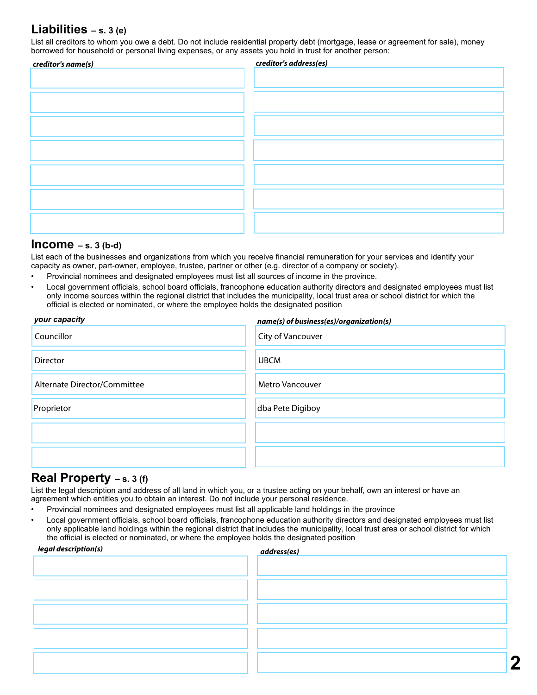### **Liabilities – s. 3 (e)**

List all creditors to whom you owe a debt. Do not include residential property debt (mortgage, lease or agreement for sale), money borrowed for household or personal living expenses, or any assets you hold in trust for another person:

| creditor's name(s) | creditor's address(es) |  |  |
|--------------------|------------------------|--|--|
|                    |                        |  |  |
|                    |                        |  |  |
|                    |                        |  |  |
|                    |                        |  |  |
|                    |                        |  |  |
|                    |                        |  |  |
|                    |                        |  |  |
|                    |                        |  |  |
|                    |                        |  |  |
|                    |                        |  |  |
|                    |                        |  |  |
|                    |                        |  |  |
|                    |                        |  |  |
|                    |                        |  |  |
|                    |                        |  |  |

#### **Income – s. 3 (b-d)**

List each of the businesses and organizations from which you receive financial remuneration for your services and identify your capacity as owner, part-owner, employee, trustee, partner or other (e.g. director of a company or society).

- Provincial nominees and designated employees must list all sources of income in the province.
- Local government officials, school board officials, francophone education authority directors and designated employees must list only income sources within the regional district that includes the municipality, local trust area or school district for which the official is elected or nominated, or where the employee holds the designated position

| your capacity                | name(s) of business(es)/organization(s) |  |  |
|------------------------------|-----------------------------------------|--|--|
| Councillor                   | <b>City of Vancouver</b>                |  |  |
| <b>Director</b>              | <b>UBCM</b>                             |  |  |
| Alternate Director/Committee | <b>Metro Vancouver</b>                  |  |  |
| Proprietor                   | dba Pete Digiboy                        |  |  |
|                              |                                         |  |  |
|                              |                                         |  |  |

#### **Real Property – s. 3 (f)**

List the legal description and address of all land in which you, or a trustee acting on your behalf, own an interest or have an agreement which entitles you to obtain an interest. Do not include your personal residence.

- Provincial nominees and designated employees must list all applicable land holdings in the province
- Local government officials, school board officials, francophone education authority directors and designated employees must list only applicable land holdings within the regional district that includes the municipality, local trust area or school district for which the official is elected or nominated, or where the employee holds the designated position

| legal description(s) | address(es) |
|----------------------|-------------|
|                      |             |
|                      |             |
|                      |             |
|                      |             |
|                      |             |